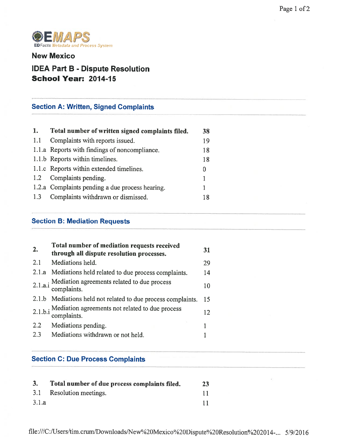

New Mexico

# IDEA Part B - Dispute Resolution School Year: 2014-15

# Section A: Written, Signed Complaints

| 1.  | Total number of written signed complaints filed. | 38 |
|-----|--------------------------------------------------|----|
| 1.1 | Complaints with reports issued.                  | 19 |
|     | 1.1.a Reports with findings of noncompliance.    | 18 |
|     | 1.1.b Reports within timelines.                  | 18 |
|     | 1.1.c Reports within extended timelines.         |    |
|     | 1.2 Complaints pending.                          |    |
|     | 1.2.a Complaints pending a due process hearing.  |    |
| 1.3 | Complaints withdrawn or dismissed.               |    |

### Section B: Mediation Requests

| 2.  | Total number of mediation requests received<br>through all dispute resolution processes. | 31 |
|-----|------------------------------------------------------------------------------------------|----|
| 2.1 | Mediations held.                                                                         | 29 |
|     | 2.1.a Mediations held related to due process complaints.                                 | 14 |
|     | 2.1.a.i Mediation agreements related to due process<br>complaints.                       | 10 |
|     | 2.1.b Mediations held not related to due process complaints.                             | 15 |
|     | 2.1.b.i Mediation agreements not related to due process<br>complaints.                   | 12 |
| 2.2 | Mediations pending.                                                                      |    |
| 2.3 | Mediations withdrawn or not held.                                                        |    |

### Section C: Due Process Complaints

| 3.    | Total number of due process complaints filed. | 23 |
|-------|-----------------------------------------------|----|
|       | 3.1 Resolution meetings.                      |    |
| 3.1.a |                                               |    |